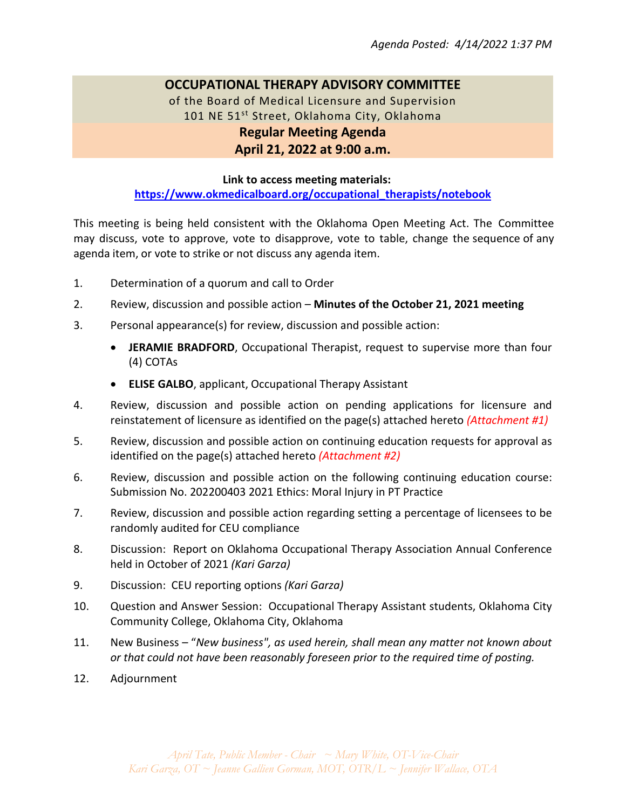# **OCCUPATIONAL THERAPY ADVISORY COMMITTEE**

of the Board of Medical Licensure and Supervision 101 NE 51<sup>st</sup> Street, Oklahoma City, Oklahoma **Regular Meeting Agenda April 21, 2022 at 9:00 a.m.**

### **Link to access meeting materials:**

**[https://www.okmedicalboard.org/occupational\\_therapists/notebook](https://www.okmedicalboard.org/occupational_therapists/notebook)**

This meeting is being held consistent with the Oklahoma Open Meeting Act. The Committee may discuss, vote to approve, vote to disapprove, vote to table, change the sequence of any agenda item, or vote to strike or not discuss any agenda item.

- 1. Determination of a quorum and call to Order
- 2. Review, discussion and possible action **Minutes of the October 21, 2021 meeting**
- 3. Personal appearance(s) for review, discussion and possible action:
	- **JERAMIE BRADFORD**, Occupational Therapist, request to supervise more than four (4) COTAs
	- **ELISE GALBO**, applicant, Occupational Therapy Assistant
- 4. Review, discussion and possible action on pending applications for licensure and reinstatement of licensure as identified on the page(s) attached hereto *(Attachment #1)*
- 5. Review, discussion and possible action on continuing education requests for approval as identified on the page(s) attached hereto *(Attachment #2)*
- 6. Review, discussion and possible action on the following continuing education course: Submission No. 202200403 2021 Ethics: Moral Injury in PT Practice
- 7. Review, discussion and possible action regarding setting a percentage of licensees to be randomly audited for CEU compliance
- 8. Discussion: Report on Oklahoma Occupational Therapy Association Annual Conference held in October of 2021 *(Kari Garza)*
- 9. Discussion: CEU reporting options *(Kari Garza)*
- 10. Question and Answer Session: Occupational Therapy Assistant students, Oklahoma City Community College, Oklahoma City, Oklahoma
- 11. New Business "*New business", as used herein, shall mean any matter not known about or that could not have been reasonably foreseen prior to the required time of posting.*
- 12. Adjournment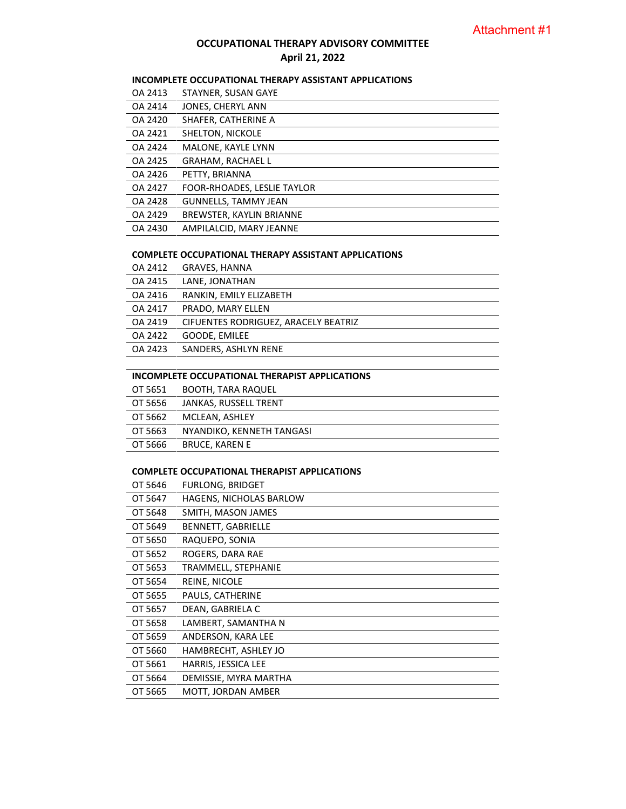# **OCCUPATIONAL THERAPY ADVISORY COMMITTEE April 21, 2022**

# **INCOMPLETE OCCUPATIONAL THERAPY ASSISTANT APPLICATIONS**

| OA 2413 | STAYNER, SUSAN GAYE         |
|---------|-----------------------------|
| OA 2414 | JONES, CHERYL ANN           |
| OA 2420 | SHAFER, CATHERINE A         |
| OA 2421 | SHELTON, NICKOLE            |
| OA 2424 | MALONE, KAYLE LYNN          |
| OA 2425 | <b>GRAHAM, RACHAEL L</b>    |
| OA 2426 | PETTY, BRIANNA              |
| OA 2427 | FOOR-RHOADES, LESLIE TAYLOR |
| OA 2428 | <b>GUNNELLS, TAMMY JEAN</b> |
| OA 2429 | BREWSTER, KAYLIN BRIANNE    |
| OA 2430 | AMPILALCID, MARY JEANNE     |

#### **COMPLETE OCCUPATIONAL THERAPY ASSISTANT APPLICATIONS**

| OA 2412 | <b>GRAVES, HANNA</b>                 |
|---------|--------------------------------------|
| OA 2415 | LANE, JONATHAN                       |
| OA 2416 | RANKIN, EMILY ELIZABETH              |
| OA 2417 | PRADO, MARY ELLEN                    |
| OA 2419 | CIFUENTES RODRIGUEZ, ARACELY BEATRIZ |
| OA 2422 | GOODE, EMILEE                        |
| OA 2423 | SANDERS, ASHLYN RENE                 |
|         |                                      |

#### **INCOMPLETE OCCUPATIONAL THERAPIST APPLICATIONS**

|         | OT 5651 BOOTH, TARA RAQUEL |
|---------|----------------------------|
| OT 5656 | JANKAS, RUSSELL TRENT      |
| OT 5662 | MCLEAN, ASHLEY             |
| OT 5663 | NYANDIKO, KENNETH TANGASI  |
| OT 5666 | BRUCE, KAREN E             |
|         |                            |

#### **COMPLETE OCCUPATIONAL THERAPIST APPLICATIONS**

| OT 5646 | FURLONG, BRIDGET               |
|---------|--------------------------------|
| OT 5647 | <b>HAGENS, NICHOLAS BARLOW</b> |
| OT 5648 | SMITH, MASON JAMES             |
| OT 5649 | BENNETT, GABRIELLE             |
| OT 5650 | RAQUEPO, SONIA                 |
| OT 5652 | ROGERS, DARA RAE               |
| OT 5653 | TRAMMELL, STEPHANIE            |
| OT 5654 | REINE, NICOLE                  |
| OT 5655 | PAULS, CATHERINE               |
| OT 5657 | DEAN, GABRIELA C               |
| OT 5658 | LAMBERT, SAMANTHA N            |
| OT 5659 | ANDERSON, KARA LEE             |
| OT 5660 | HAMBRECHT, ASHLEY JO           |
| OT 5661 | HARRIS, JESSICA LEE            |
| OT 5664 | DEMISSIE, MYRA MARTHA          |
| OT 5665 | MOTT, JORDAN AMBER             |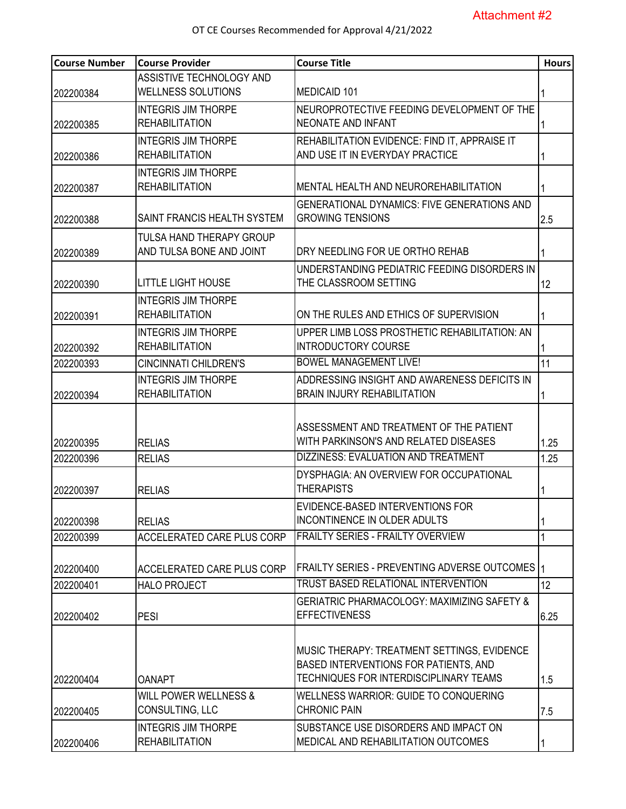| <b>Course Number</b> | <b>Course Provider</b>            | <b>Course Title</b>                                    | <b>Hours</b> |
|----------------------|-----------------------------------|--------------------------------------------------------|--------------|
|                      | ASSISTIVE TECHNOLOGY AND          |                                                        |              |
| 202200384            | <b>WELLNESS SOLUTIONS</b>         | MEDICAID 101                                           |              |
|                      | <b>INTEGRIS JIM THORPE</b>        | NEUROPROTECTIVE FEEDING DEVELOPMENT OF THE             |              |
| 202200385            | <b>REHABILITATION</b>             | NEONATE AND INFANT                                     |              |
|                      | <b>INTEGRIS JIM THORPE</b>        | REHABILITATION EVIDENCE: FIND IT, APPRAISE IT          |              |
| 202200386            | <b>REHABILITATION</b>             | AND USE IT IN EVERYDAY PRACTICE                        |              |
|                      | <b>INTEGRIS JIM THORPE</b>        |                                                        |              |
| 202200387            | <b>REHABILITATION</b>             | MENTAL HEALTH AND NEUROREHABILITATION                  |              |
|                      |                                   | <b>GENERATIONAL DYNAMICS: FIVE GENERATIONS AND</b>     |              |
| 202200388            | SAINT FRANCIS HEALTH SYSTEM       | <b>GROWING TENSIONS</b>                                | 2.5          |
|                      | TULSA HAND THERAPY GROUP          |                                                        |              |
| 202200389            | AND TULSA BONE AND JOINT          | DRY NEEDLING FOR UE ORTHO REHAB                        |              |
|                      |                                   | UNDERSTANDING PEDIATRIC FEEDING DISORDERS IN           |              |
| 202200390            | <b>LITTLE LIGHT HOUSE</b>         | THE CLASSROOM SETTING                                  | 12           |
|                      | <b>INTEGRIS JIM THORPE</b>        |                                                        |              |
| 202200391            | <b>REHABILITATION</b>             | ON THE RULES AND ETHICS OF SUPERVISION                 |              |
|                      | <b>INTEGRIS JIM THORPE</b>        | UPPER LIMB LOSS PROSTHETIC REHABILITATION: AN          |              |
| 202200392            | <b>REHABILITATION</b>             | <b>INTRODUCTORY COURSE</b>                             |              |
| 202200393            | <b>CINCINNATI CHILDREN'S</b>      | <b>BOWEL MANAGEMENT LIVE!</b>                          | 11           |
|                      | <b>INTEGRIS JIM THORPE</b>        | ADDRESSING INSIGHT AND AWARENESS DEFICITS IN           |              |
| 202200394            | <b>REHABILITATION</b>             | <b>BRAIN INJURY REHABILITATION</b>                     |              |
|                      |                                   |                                                        |              |
|                      |                                   | ASSESSMENT AND TREATMENT OF THE PATIENT                |              |
| 202200395            | <b>RELIAS</b>                     | WITH PARKINSON'S AND RELATED DISEASES                  | 1.25         |
| 202200396            | <b>RELIAS</b>                     | DIZZINESS: EVALUATION AND TREATMENT                    | 1.25         |
|                      |                                   | DYSPHAGIA: AN OVERVIEW FOR OCCUPATIONAL                |              |
| 202200397            | <b>RELIAS</b>                     | <b>THERAPISTS</b>                                      |              |
|                      |                                   | EVIDENCE-BASED INTERVENTIONS FOR                       |              |
| 202200398            | <b>RELIAS</b>                     | <b>INCONTINENCE IN OLDER ADULTS</b>                    |              |
| 202200399            | <b>ACCELERATED CARE PLUS CORP</b> | <b>FRAILTY SERIES - FRAILTY OVERVIEW</b>               |              |
|                      |                                   |                                                        |              |
| 202200400            | <b>ACCELERATED CARE PLUS CORP</b> | <b>FRAILTY SERIES - PREVENTING ADVERSE OUTCOMES</b>    |              |
| 202200401            | <b>HALO PROJECT</b>               | <b>TRUST BASED RELATIONAL INTERVENTION</b>             | 12           |
|                      |                                   | <b>GERIATRIC PHARMACOLOGY: MAXIMIZING SAFETY &amp;</b> |              |
| 202200402            | <b>PESI</b>                       | <b>EFFECTIVENESS</b>                                   | 6.25         |
|                      |                                   |                                                        |              |
|                      |                                   | MUSIC THERAPY: TREATMENT SETTINGS, EVIDENCE            |              |
|                      |                                   | <b>BASED INTERVENTIONS FOR PATIENTS, AND</b>           |              |
| 202200404            | <b>OANAPT</b>                     | TECHNIQUES FOR INTERDISCIPLINARY TEAMS                 | 1.5          |
|                      | <b>WILL POWER WELLNESS &amp;</b>  | WELLNESS WARRIOR: GUIDE TO CONQUERING                  |              |
| 202200405            | CONSULTING, LLC                   | <b>CHRONIC PAIN</b>                                    | 7.5          |
|                      | <b>INTEGRIS JIM THORPE</b>        | SUBSTANCE USE DISORDERS AND IMPACT ON                  |              |
| 202200406            | <b>REHABILITATION</b>             | MEDICAL AND REHABILITATION OUTCOMES                    |              |